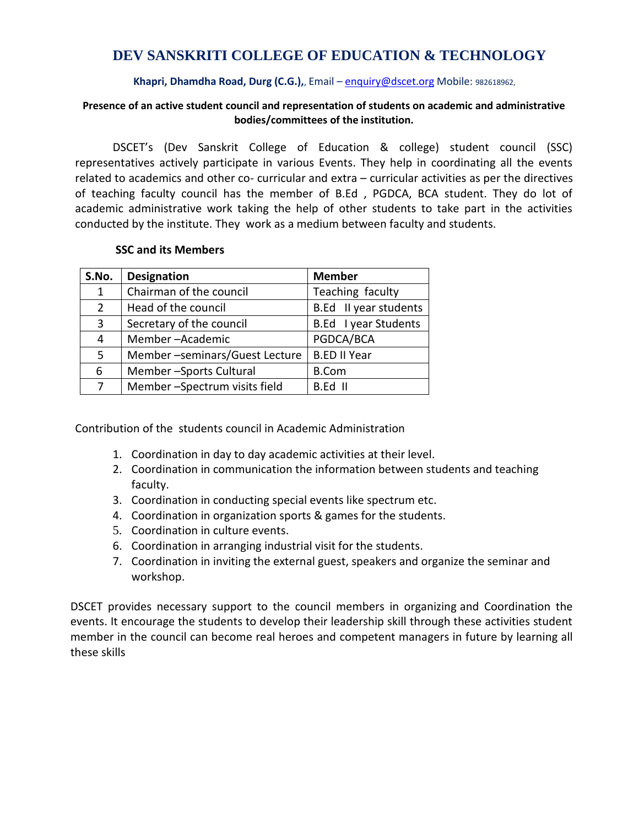## **DEV SANSKRITI COLLEGE OF EDUCATION & TECHNOLOGY**

### **Khapri, Dhamdha Road, Durg (C.G.),**, Email – [enquiry@dscet.org](mailto:enquiry@dscet.org) Mobile: 982618962,

### **Presence of an active student council and representation of students on academic and administrative bodies/committees of the institution.**

 DSCET's (Dev Sanskrit College of Education & college) student council (SSC) representatives actively participate in various Events. They help in coordinating all the events related to academics and other co- curricular and extra – curricular activities as per the directives of teaching faculty council has the member of B.Ed , PGDCA, BCA student. They do lot of academic administrative work taking the help of other students to take part in the activities conducted by the institute. They work as a medium between faculty and students.

### **SSC and its Members**

| S.No.          | <b>Designation</b>            | <b>Member</b>         |
|----------------|-------------------------------|-----------------------|
| $\mathbf{1}$   | Chairman of the council       | Teaching faculty      |
| $\overline{2}$ | Head of the council           | B.Ed II year students |
| 3              | Secretary of the council      | B.Ed I year Students  |
| 4              | Member-Academic               | PGDCA/BCA             |
| 5              | Member-seminars/Guest Lecture | <b>B.ED II Year</b>   |
| 6              | Member-Sports Cultural        | <b>B.Com</b>          |
| 7              | Member-Spectrum visits field  | B.Ed II               |

Contribution of the students council in Academic Administration

- 1. Coordination in day to day academic activities at their level.
- 2. Coordination in communication the information between students and teaching faculty.
- 3. Coordination in conducting special events like spectrum etc.
- 4. Coordination in organization sports & games for the students.
- 5. Coordination in culture events.
- 6. Coordination in arranging industrial visit for the students.
- 7. Coordination in inviting the external guest, speakers and organize the seminar and workshop.

DSCET provides necessary support to the council members in organizing and Coordination the events. It encourage the students to develop their leadership skill through these activities student member in the council can become real heroes and competent managers in future by learning all these skills